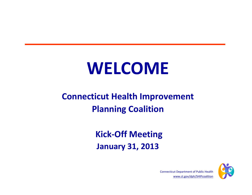# **WELCOME**

#### **Connecticut Health Improvement Planning Coalition**

#### **Kick‐Off Meeting January 31, 2013**



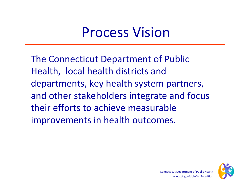### Process Vision

The Connecticut Department of Public Health, local health districts and departments, key health system partners, and other stakeholders integrate and focus their efforts to achieve measurable improvements in health outcomes.

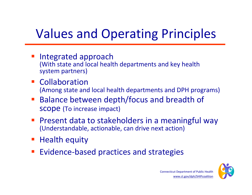## Values and Operating Principles

- **Integrated approach** (With state and local health departments and key health system partners)
- **Collaboration** (Among state and local health departments and DPH programs)
- **Balance between depth/focus and breadth of** scope (To increase impact)
- **Present data to stakeholders in a meaningful way** (Understandable, actionable, can drive next action)
- **Health equity**
- ■ Evidence-based practices and strategies

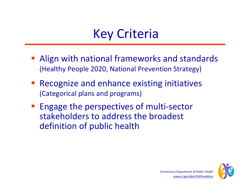### Key Criteria

- **Align with national frameworks and standards** (Healthy People 2020, National Prevention Strategy)
- **Service Service**  Recognize and enhance existing initiatives (Categorical plans and programs)
- Engage the perspectives of multi‐sector stakeholders to address the broadest definition of public health

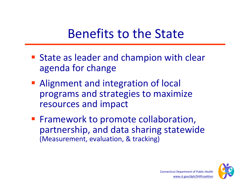#### Benefits to the State

- **State as leader and champion with clear** agenda for change
- **Alignment and integration of local** programs and strategies to maximize resources and impact
- **Firamework to promote collaboration,** partnership, and data sharing statewide (Measurement, evaluation, & tracking)